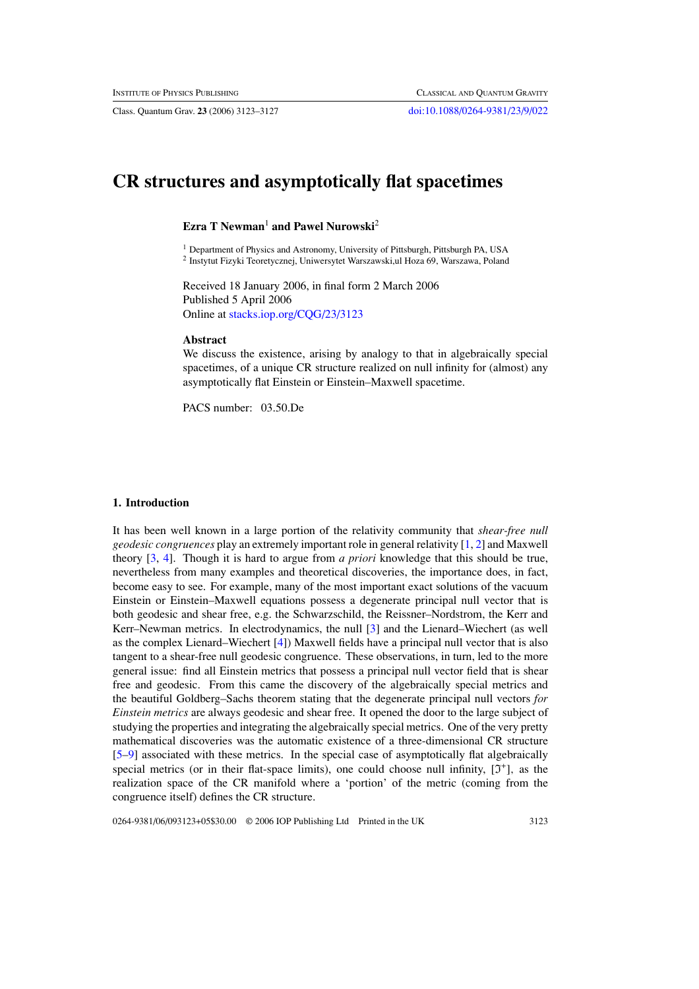Class. Quantum Grav. **23** (2006) 3123–3127 [doi:10.1088/0264-9381/23/9/022](http://dx.doi.org/10.1088/0264-9381/23/9/022)

# **CR structures and asymptotically flat spacetimes**

# **Ezra T Newman**<sup>1</sup> **and Pawel Nurowski**<sup>2</sup>

<sup>1</sup> Department of Physics and Astronomy, University of Pittsburgh, Pittsburgh PA, USA <sup>2</sup> Instytut Fizyki Teoretycznej, Uniwersytet Warszawski,ul Hoza 69, Warszawa, Poland

Received 18 January 2006, in final form 2 March 2006 Published 5 April 2006 Online at [stacks.iop.org/CQG/23/3123](http://stacks.iop.org/CQG/23/3123)

### **Abstract**

We discuss the existence, arising by analogy to that in algebraically special spacetimes, of a unique CR structure realized on null infinity for (almost) any asymptotically flat Einstein or Einstein–Maxwell spacetime.

PACS number: 03.50.De

#### **1. Introduction**

It has been well known in a large portion of the relativity community that *shear-free null geodesic congruences* play an extremely important role in general relativity [\[1](#page-4-0), [2\]](#page-4-0) and Maxwell theory [\[3,](#page-4-0) [4\]](#page-4-0). Though it is hard to argue from *a priori* knowledge that this should be true, nevertheless from many examples and theoretical discoveries, the importance does, in fact, become easy to see. For example, many of the most important exact solutions of the vacuum Einstein or Einstein–Maxwell equations possess a degenerate principal null vector that is both geodesic and shear free, e.g. the Schwarzschild, the Reissner–Nordstrom, the Kerr and Kerr–Newman metrics. In electrodynamics, the null [\[3\]](#page-4-0) and the Lienard–Wiechert (as well as the complex Lienard–Wiechert [\[4](#page-4-0)]) Maxwell fields have a principal null vector that is also tangent to a shear-free null geodesic congruence. These observations, in turn, led to the more general issue: find all Einstein metrics that possess a principal null vector field that is shear free and geodesic. From this came the discovery of the algebraically special metrics and the beautiful Goldberg–Sachs theorem stating that the degenerate principal null vectors *for Einstein metrics* are always geodesic and shear free. It opened the door to the large subject of studying the properties and integrating the algebraically special metrics. One of the very pretty mathematical discoveries was the automatic existence of a three-dimensional CR structure [\[5–9](#page-4-0)] associated with these metrics. In the special case of asymptotically flat algebraically special metrics (or in their flat-space limits), one could choose null infinity, [ $\mathfrak{I}^+$ ], as the realization space of the CR manifold where a 'portion' of the metric (coming from the congruence itself) defines the CR structure.

0264-9381/06/093123+05\$30.00 © 2006 IOP Publishing Ltd Printed in the UK 3123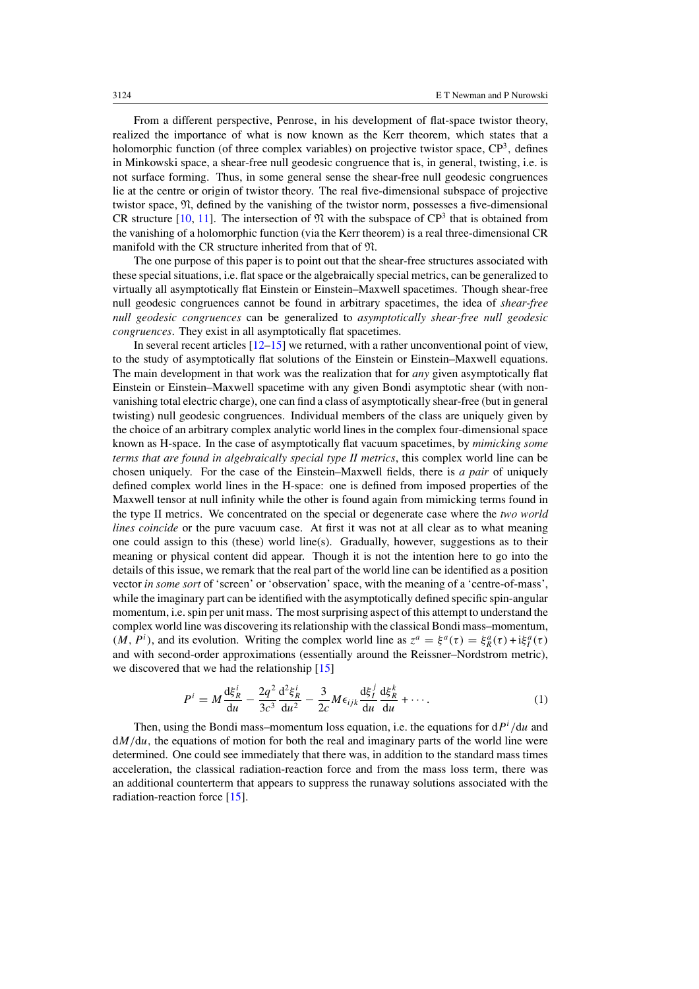<span id="page-1-0"></span>From a different perspective, Penrose, in his development of flat-space twistor theory, realized the importance of what is now known as the Kerr theorem, which states that a holomorphic function (of three complex variables) on projective twistor space,  $\mathbb{CP}^3$ , defines in Minkowski space, a shear-free null geodesic congruence that is, in general, twisting, i.e. is not surface forming. Thus, in some general sense the shear-free null geodesic congruences lie at the centre or origin of twistor theory. The real five-dimensional subspace of projective twistor space, N, defined by the vanishing of the twistor norm, possesses a five-dimensional CR structure [\[10,](#page-4-0) [11](#page-4-0)]. The intersection of  $\mathfrak{N}$  with the subspace of CP<sup>3</sup> that is obtained from the vanishing of a holomorphic function (via the Kerr theorem) is a real three-dimensional CR manifold with the CR structure inherited from that of N*.*

The one purpose of this paper is to point out that the shear-free structures associated with these special situations, i.e. flat space or the algebraically special metrics, can be generalized to virtually all asymptotically flat Einstein or Einstein–Maxwell spacetimes. Though shear-free null geodesic congruences cannot be found in arbitrary spacetimes, the idea of *shear-free null geodesic congruences* can be generalized to *asymptotically shear-free null geodesic congruences*. They exist in all asymptotically flat spacetimes.

In several recent articles  $[12-15]$  we returned, with a rather unconventional point of view, to the study of asymptotically flat solutions of the Einstein or Einstein–Maxwell equations. The main development in that work was the realization that for *any* given asymptotically flat Einstein or Einstein–Maxwell spacetime with any given Bondi asymptotic shear (with nonvanishing total electric charge), one can find a class of asymptotically shear-free (but in general twisting) null geodesic congruences. Individual members of the class are uniquely given by the choice of an arbitrary complex analytic world lines in the complex four-dimensional space known as H-space. In the case of asymptotically flat vacuum spacetimes, by *mimicking some terms that are found in algebraically special type II metrics*, this complex world line can be chosen uniquely. For the case of the Einstein–Maxwell fields, there is *a pair* of uniquely defined complex world lines in the H-space: one is defined from imposed properties of the Maxwell tensor at null infinity while the other is found again from mimicking terms found in the type II metrics. We concentrated on the special or degenerate case where the *two world lines coincide* or the pure vacuum case. At first it was not at all clear as to what meaning one could assign to this (these) world line(s). Gradually, however, suggestions as to their meaning or physical content did appear. Though it is not the intention here to go into the details of this issue, we remark that the real part of the world line can be identified as a position vector *in some sort* of 'screen' or 'observation' space, with the meaning of a 'centre-of-mass', while the imaginary part can be identified with the asymptotically defined specific spin-angular momentum, i.e. spin per unit mass. The most surprising aspect of this attempt to understand the complex world line was discovering its relationship with the classical Bondi mass–momentum, *(M, P<sup><i>i*</sup>), and its evolution. Writing the complex world line as  $z^a = \xi^a(\tau) = \xi^a_R(\tau) + i\xi^a_I(\tau)$ and with second-order approximations (essentially around the Reissner–Nordstrom metric), we discovered that we had the relationship [\[15](#page-4-0)]

$$
P^{i} = M \frac{d\xi_{R}^{i}}{du} - \frac{2q^{2}}{3c^{3}} \frac{d^{2}\xi_{R}^{i}}{du^{2}} - \frac{3}{2c} M \epsilon_{ijk} \frac{d\xi_{I}^{j}}{du} \frac{d\xi_{R}^{k}}{du} + \cdots
$$
 (1)

Then, using the Bondi mass–momentum loss equation, i.e. the equations for d*P<sup>i</sup> /*d*u* and  $dM/du$ , the equations of motion for both the real and imaginary parts of the world line were determined. One could see immediately that there was, in addition to the standard mass times acceleration, the classical radiation-reaction force and from the mass loss term, there was an additional counterterm that appears to suppress the runaway solutions associated with the radiation-reaction force [\[15](#page-4-0)].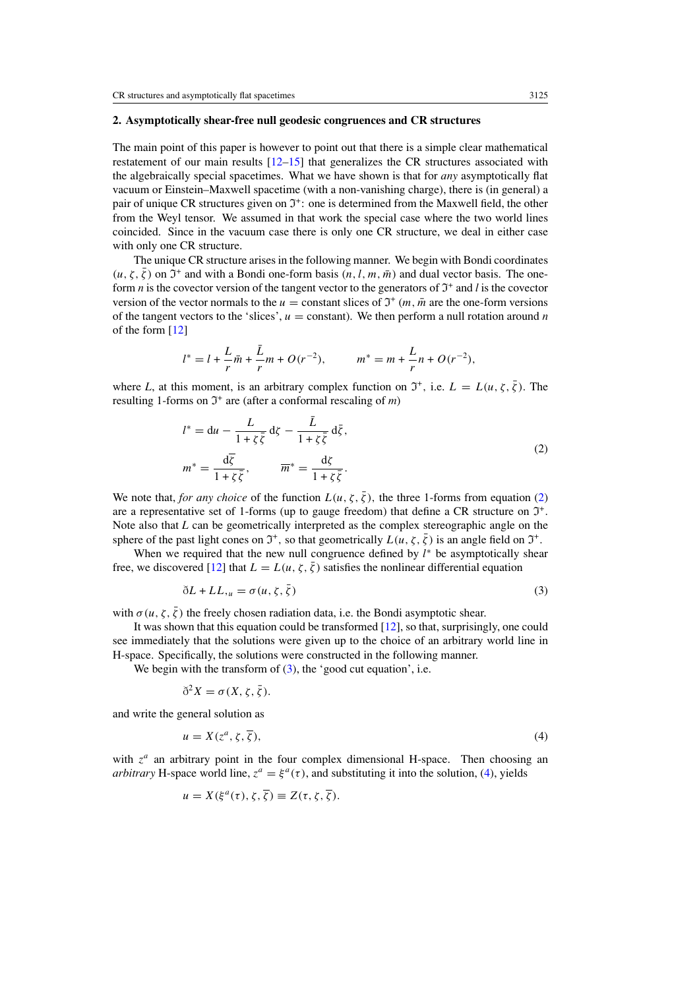#### <span id="page-2-0"></span>**2. Asymptotically shear-free null geodesic congruences and CR structures**

The main point of this paper is however to point out that there is a simple clear mathematical restatement of our main results [\[12–15\]](#page-4-0) that generalizes the CR structures associated with the algebraically special spacetimes. What we have shown is that for *any* asymptotically flat vacuum or Einstein–Maxwell spacetime (with a non-vanishing charge), there is (in general) a pair of unique CR structures given on  $\mathfrak{I}^+$ : one is determined from the Maxwell field, the other from the Weyl tensor. We assumed in that work the special case where the two world lines coincided. Since in the vacuum case there is only one CR structure, we deal in either case with only one CR structure.

The unique CR structure arises in the following manner. We begin with Bondi coordinates  $(u, \zeta, \bar{\zeta})$  on  $\mathfrak{I}^+$  and with a Bondi one-form basis  $(n, l, m, \bar{m})$  and dual vector basis. The oneform *n* is the covector version of the tangent vector to the generators of  $\mathfrak{I}^+$  and *l* is the covector version of the vector normals to the  $u =$  constant slices of  $\mathfrak{I}^+(m, \bar{m})$  are the one-form versions of the tangent vectors to the 'slices',  $u =$  constant). We then perform a null rotation around *n* of the form [\[12\]](#page-4-0)

$$
l^* = l + \frac{L}{r}\bar{m} + \frac{\bar{L}}{r}m + O(r^{-2}), \qquad m^* = m + \frac{L}{r}n + O(r^{-2}),
$$

where *L*, at this moment, is an arbitrary complex function on  $\mathcal{I}^+$ , i.e.  $L = L(u, \zeta, \overline{\zeta})$ . The resulting 1-forms on  $\mathfrak{I}^+$  are (after a conformal rescaling of *m*)

$$
l^* = du - \frac{L}{1 + \zeta \overline{\zeta}} d\zeta - \frac{\overline{L}}{1 + \zeta \overline{\zeta}} d\overline{\zeta},
$$
  

$$
m^* = \frac{d\overline{\zeta}}{1 + \zeta \overline{\zeta}}, \qquad \overline{m}^* = \frac{d\zeta}{1 + \zeta \overline{\zeta}}.
$$
 (2)

We note that, *for any choice* of the function  $L(u, \zeta, \overline{\zeta})$ , the three 1-forms from equation (2) are a representative set of 1-forms (up to gauge freedom) that define a CR structure on  $\mathfrak{I}^+$ . Note also that *L* can be geometrically interpreted as the complex stereographic angle on the sphere of the past light cones on  $\mathfrak{I}^+$ , so that geometrically  $L(u, \zeta, \overline{\zeta})$  is an angle field on  $\mathfrak{I}^+$ .

When we required that the new null congruence defined by  $l^*$  be asymptotically shear free, we discovered [\[12](#page-4-0)] that  $L = L(u, \zeta, \overline{\zeta})$  satisfies the nonlinear differential equation

$$
\delta L + L L_{,u} = \sigma(u, \zeta, \bar{\zeta})
$$
\n(3)

with  $\sigma(u, \zeta, \bar{\zeta})$  the freely chosen radiation data, i.e. the Bondi asymptotic shear.

It was shown that this equation could be transformed [\[12](#page-4-0)], so that, surprisingly, one could see immediately that the solutions were given up to the choice of an arbitrary world line in H-space. Specifically, the solutions were constructed in the following manner.

We begin with the transform of  $(3)$ , the 'good cut equation', i.e.

$$
\delta^2 X = \sigma(X, \zeta, \overline{\zeta}).
$$

and write the general solution as

$$
u = X(z^a, \zeta, \overline{\zeta}),\tag{4}
$$

with  $z^a$  an arbitrary point in the four complex dimensional H-space. Then choosing an *arbitrary* H-space world line,  $z^a = \xi^a(\tau)$ , and substituting it into the solution, (4), yields

$$
u = X(\xi^{a}(\tau), \zeta, \overline{\zeta}) \equiv Z(\tau, \zeta, \overline{\zeta}).
$$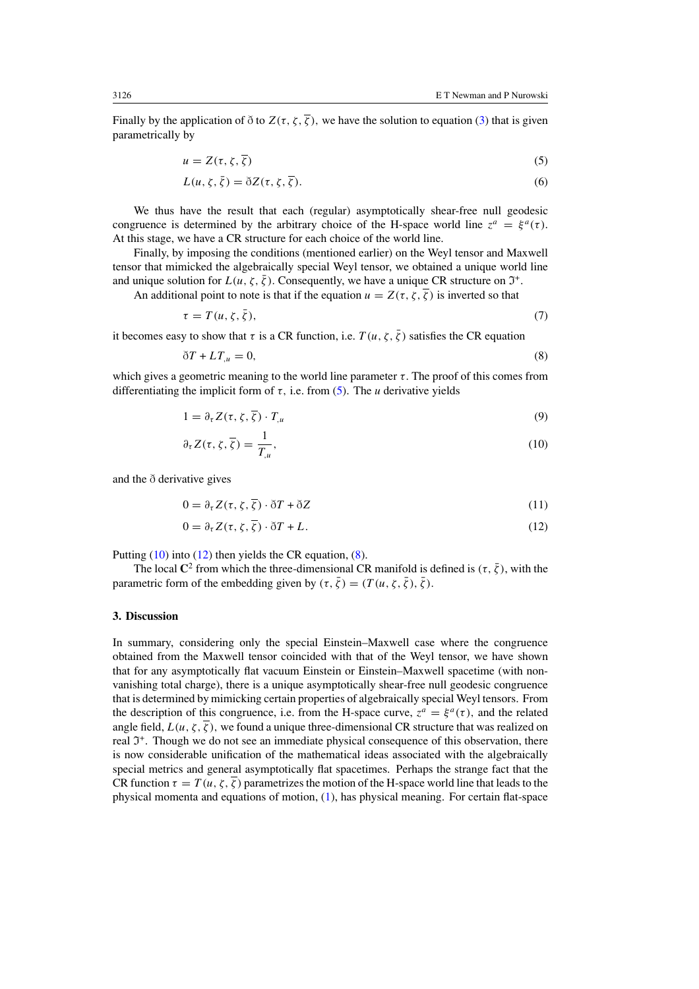Finally by the application of  $\delta$  to  $Z(\tau, \zeta, \overline{\zeta})$ , we have the solution to equation [\(3\)](#page-2-0) that is given parametrically by

$$
u = Z(\tau, \zeta, \overline{\zeta})\tag{5}
$$

$$
L(u, \zeta, \bar{\zeta}) = \delta Z(\tau, \zeta, \bar{\zeta}).
$$
\n(6)

We thus have the result that each (regular) asymptotically shear-free null geodesic congruence is determined by the arbitrary choice of the H-space world line  $z^a = \xi^a(\tau)$ . At this stage, we have a CR structure for each choice of the world line.

Finally, by imposing the conditions (mentioned earlier) on the Weyl tensor and Maxwell tensor that mimicked the algebraically special Weyl tensor, we obtained a unique world line and unique solution for  $L(u, \zeta, \overline{\zeta})$ . Consequently, we have a unique CR structure on  $\mathfrak{I}^+$ .

An additional point to note is that if the equation  $u = Z(\tau, \zeta, \overline{\zeta})$  is inverted so that

$$
\tau = T(u, \zeta, \bar{\zeta}),\tag{7}
$$

it becomes easy to show that  $\tau$  is a CR function, i.e.  $T(u, \zeta, \overline{\zeta})$  satisfies the CR equation

$$
\delta T + LT_{,u} = 0,\tag{8}
$$

which gives a geometric meaning to the world line parameter  $\tau$ . The proof of this comes from differentiating the implicit form of  $\tau$ , i.e. from (5). The *u* derivative yields

$$
1 = \partial_{\tau} Z(\tau, \zeta, \overline{\zeta}) \cdot T_{,u} \tag{9}
$$

$$
\partial_{\tau} Z(\tau, \zeta, \overline{\zeta}) = \frac{1}{T_{,u}},\tag{10}
$$

and the  $\delta$  derivative gives

$$
0 = \partial_{\tau} Z(\tau, \zeta, \overline{\zeta}) \cdot \delta T + \delta Z \tag{11}
$$

$$
0 = \partial_{\tau} Z(\tau, \zeta, \overline{\zeta}) \cdot \delta T + L. \tag{12}
$$

Putting (10) into (12) then yields the CR equation, (8).

The local  $\mathbb{C}^2$  from which the three-dimensional CR manifold is defined is  $(\tau, \bar{\zeta})$ , with the parametric form of the embedding given by  $(\tau, \bar{\zeta}) = (T(u, \zeta, \bar{\zeta}), \bar{\zeta})$ .

#### **3. Discussion**

In summary, considering only the special Einstein–Maxwell case where the congruence obtained from the Maxwell tensor coincided with that of the Weyl tensor, we have shown that for any asymptotically flat vacuum Einstein or Einstein–Maxwell spacetime (with nonvanishing total charge), there is a unique asymptotically shear-free null geodesic congruence that is determined by mimicking certain properties of algebraically special Weyl tensors. From the description of this congruence, i.e. from the H-space curve,  $z^a = \xi^a(\tau)$ , and the related angle field,  $L(u, \zeta, \overline{\zeta})$ , we found a unique three-dimensional CR structure that was realized on real  $\mathfrak{I}^+$ . Though we do not see an immediate physical consequence of this observation, there is now considerable unification of the mathematical ideas associated with the algebraically special metrics and general asymptotically flat spacetimes. Perhaps the strange fact that the CR function  $\tau = T(u, \zeta, \overline{\zeta})$  parametrizes the motion of the H-space world line that leads to the physical momenta and equations of motion, [\(1\)](#page-1-0), has physical meaning. For certain flat-space